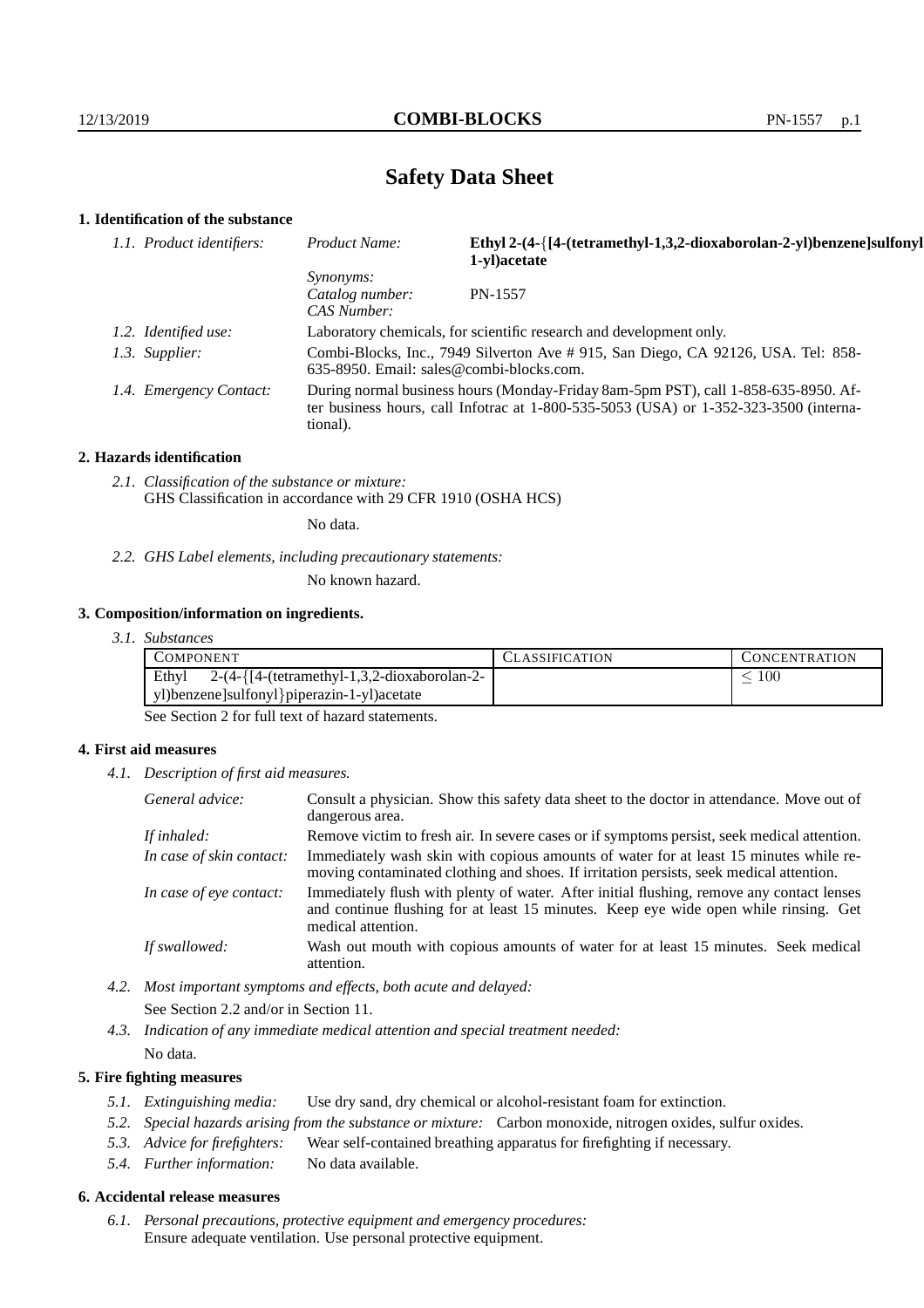# **Safety Data Sheet**

## **1. Identification of the substance**

| 1.1. Product identifiers: | Product Name:                                                                                                                                                                               | Ethyl 2-(4-{[4-(tetramethyl-1,3,2-dioxaborolan-2-yl)benzene]sulfonyl<br>1-yl) acetate |
|---------------------------|---------------------------------------------------------------------------------------------------------------------------------------------------------------------------------------------|---------------------------------------------------------------------------------------|
|                           | <i>Synonyms:</i><br>Catalog number:<br>CAS Number:                                                                                                                                          | PN-1557                                                                               |
| 1.2. Identified use:      | Laboratory chemicals, for scientific research and development only.                                                                                                                         |                                                                                       |
| 1.3. Supplier:            | Combi-Blocks, Inc., 7949 Silverton Ave # 915, San Diego, CA 92126, USA. Tel: 858-<br>635-8950. Email: sales@combi-blocks.com.                                                               |                                                                                       |
| 1.4. Emergency Contact:   | During normal business hours (Monday-Friday 8am-5pm PST), call 1-858-635-8950. Af-<br>ter business hours, call Infotrac at $1-800-535-5053$ (USA) or $1-352-323-3500$ (interna-<br>tional). |                                                                                       |

#### **2. Hazards identification**

*2.1. Classification of the substance or mixture:* GHS Classification in accordance with 29 CFR 1910 (OSHA HCS)

No data.

*2.2. GHS Label elements, including precautionary statements:*

No known hazard.

## **3. Composition/information on ingredients.**

| 3. I.<br><i>Substances</i> |  |
|----------------------------|--|
|----------------------------|--|

| <b>COMPONENT</b>                                                                                        | <b>CLASSIFICATION</b> | <b>CONCENTRATION</b> |
|---------------------------------------------------------------------------------------------------------|-----------------------|----------------------|
| $2-(4-{[4-(tetramethyl-1,3,2-dioxaborolan-2-1]}$<br>Ethyl<br>yl)benzene]sulfonyl}piperazin-1-yl)acetate |                       | 100                  |
|                                                                                                         |                       |                      |

See Section 2 for full text of hazard statements.

## **4. First aid measures**

*4.1. Description of first aid measures.*

| General advice:          | Consult a physician. Show this safety data sheet to the doctor in attendance. Move out of<br>dangerous area.                                                                                            |
|--------------------------|---------------------------------------------------------------------------------------------------------------------------------------------------------------------------------------------------------|
| If inhaled:              | Remove victim to fresh air. In severe cases or if symptoms persist, seek medical attention.                                                                                                             |
| In case of skin contact: | Immediately wash skin with copious amounts of water for at least 15 minutes while re-<br>moving contaminated clothing and shoes. If irritation persists, seek medical attention.                        |
| In case of eye contact:  | Immediately flush with plenty of water. After initial flushing, remove any contact lenses<br>and continue flushing for at least 15 minutes. Keep eye wide open while rinsing. Get<br>medical attention. |
| If swallowed:            | Wash out mouth with copious amounts of water for at least 15 minutes. Seek medical<br>attention.                                                                                                        |

*4.2. Most important symptoms and effects, both acute and delayed:* See Section 2.2 and/or in Section 11.

*4.3. Indication of any immediate medical attention and special treatment needed:* No data.

## **5. Fire fighting measures**

- *5.1. Extinguishing media:* Use dry sand, dry chemical or alcohol-resistant foam for extinction.
- *5.2. Special hazards arising from the substance or mixture:* Carbon monoxide, nitrogen oxides, sulfur oxides.
- *5.3. Advice for firefighters:* Wear self-contained breathing apparatus for firefighting if necessary.
- *5.4. Further information:* No data available.

## **6. Accidental release measures**

*6.1. Personal precautions, protective equipment and emergency procedures:* Ensure adequate ventilation. Use personal protective equipment.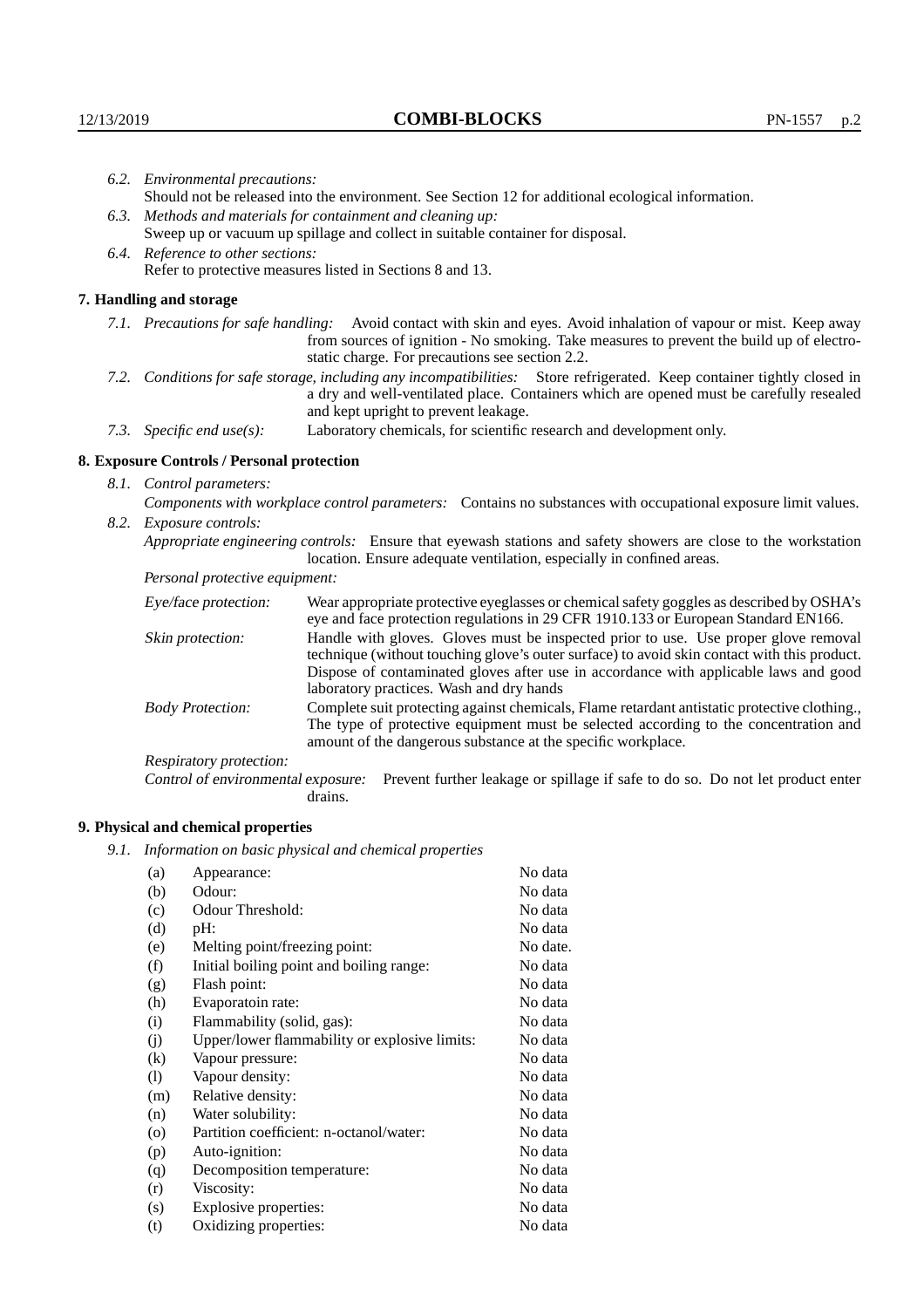|  | 6.2. Environmental precautions:                                                                                                                                                                                                                                    |                                                                                                                                                                                    |  |  |
|--|--------------------------------------------------------------------------------------------------------------------------------------------------------------------------------------------------------------------------------------------------------------------|------------------------------------------------------------------------------------------------------------------------------------------------------------------------------------|--|--|
|  | Should not be released into the environment. See Section 12 for additional ecological information.                                                                                                                                                                 |                                                                                                                                                                                    |  |  |
|  | 6.3. Methods and materials for containment and cleaning up:                                                                                                                                                                                                        |                                                                                                                                                                                    |  |  |
|  | Sweep up or vacuum up spillage and collect in suitable container for disposal.                                                                                                                                                                                     |                                                                                                                                                                                    |  |  |
|  | 6.4. Reference to other sections:                                                                                                                                                                                                                                  |                                                                                                                                                                                    |  |  |
|  |                                                                                                                                                                                                                                                                    | Refer to protective measures listed in Sections 8 and 13.                                                                                                                          |  |  |
|  | 7. Handling and storage                                                                                                                                                                                                                                            |                                                                                                                                                                                    |  |  |
|  | 7.1. Precautions for safe handling: Avoid contact with skin and eyes. Avoid inhalation of vapour or mist. Keep away<br>from sources of ignition - No smoking. Take measures to prevent the build up of electro-<br>static charge. For precautions see section 2.2. |                                                                                                                                                                                    |  |  |
|  | 7.2. Conditions for safe storage, including any incompatibilities: Store refrigerated. Keep container tightly closed in<br>a dry and well-ventilated place. Containers which are opened must be carefully resealed<br>and kept upright to prevent leakage.         |                                                                                                                                                                                    |  |  |
|  | Laboratory chemicals, for scientific research and development only.<br>7.3. Specific end use(s):                                                                                                                                                                   |                                                                                                                                                                                    |  |  |
|  | 8. Exposure Controls / Personal protection                                                                                                                                                                                                                         |                                                                                                                                                                                    |  |  |
|  | 8.1. Control parameters:                                                                                                                                                                                                                                           |                                                                                                                                                                                    |  |  |
|  |                                                                                                                                                                                                                                                                    | Components with workplace control parameters: Contains no substances with occupational exposure limit values.                                                                      |  |  |
|  | 8.2. Exposure controls:                                                                                                                                                                                                                                            |                                                                                                                                                                                    |  |  |
|  | Appropriate engineering controls: Ensure that eyewash stations and safety showers are close to the workstation<br>location. Ensure adequate ventilation, especially in confined areas.                                                                             |                                                                                                                                                                                    |  |  |
|  | Personal protective equipment:                                                                                                                                                                                                                                     |                                                                                                                                                                                    |  |  |
|  | Eye/face protection:                                                                                                                                                                                                                                               | Wear appropriate protective eyeglasses or chemical safety goggles as described by OSHA's<br>eye and face protection regulations in 29 CFR 1910.133 or European Standard EN166.     |  |  |
|  | Skin protection:                                                                                                                                                                                                                                                   | Handle with gloves. Gloves must be inspected prior to use. Use proper glove removal<br>technique (without touching glove's outer surface) to avoid skin contact with this product. |  |  |

## **8. Exposure Controls / Personal protection**

| Eye/face protection:               | Wear appropriate protective eyeglasses or chemical safety goggles as described by OSHA's<br>eye and face protection regulations in 29 CFR 1910.133 or European Standard EN166.                                                                                                                                         |                                                                                                                                                                                                                                                      |  |
|------------------------------------|------------------------------------------------------------------------------------------------------------------------------------------------------------------------------------------------------------------------------------------------------------------------------------------------------------------------|------------------------------------------------------------------------------------------------------------------------------------------------------------------------------------------------------------------------------------------------------|--|
| Skin protection:                   | Handle with gloves. Gloves must be inspected prior to use. Use proper glove removal<br>technique (without touching glove's outer surface) to avoid skin contact with this product.<br>Dispose of contaminated gloves after use in accordance with applicable laws and good<br>laboratory practices. Wash and dry hands |                                                                                                                                                                                                                                                      |  |
| <b>Body Protection:</b>            |                                                                                                                                                                                                                                                                                                                        | Complete suit protecting against chemicals, Flame retardant antistatic protective clothing.,<br>The type of protective equipment must be selected according to the concentration and<br>amount of the dangerous substance at the specific workplace. |  |
| Respiratory protection:            |                                                                                                                                                                                                                                                                                                                        |                                                                                                                                                                                                                                                      |  |
| Control of environmental exposure: | drains.                                                                                                                                                                                                                                                                                                                | Prevent further leakage or spillage if safe to do so. Do not let product enter                                                                                                                                                                       |  |

## **9. Physical and chemical properties**

*9.1. Information on basic physical and chemical properties*

| (a)                        | Appearance:                                   | No data  |
|----------------------------|-----------------------------------------------|----------|
| (b)                        | Odour:                                        | No data  |
| (c)                        | Odour Threshold:                              | No data  |
| (d)                        | pH:                                           | No data  |
| (e)                        | Melting point/freezing point:                 | No date. |
| (f)                        | Initial boiling point and boiling range:      | No data  |
| (g)                        | Flash point:                                  | No data  |
| (h)                        | Evaporatoin rate:                             | No data  |
| (i)                        | Flammability (solid, gas):                    | No data  |
| (j)                        | Upper/lower flammability or explosive limits: | No data  |
| $\left( k\right)$          | Vapour pressure:                              | No data  |
| $\left( \mathrm{l}\right)$ | Vapour density:                               | No data  |
| (m)                        | Relative density:                             | No data  |
| (n)                        | Water solubility:                             | No data  |
| $\circ$                    | Partition coefficient: n-octanol/water:       | No data  |
| (p)                        | Auto-ignition:                                | No data  |
| (q)                        | Decomposition temperature:                    | No data  |
| (r)                        | Viscosity:                                    | No data  |
| (s)                        | Explosive properties:                         | No data  |
| (t)                        | Oxidizing properties:                         | No data  |